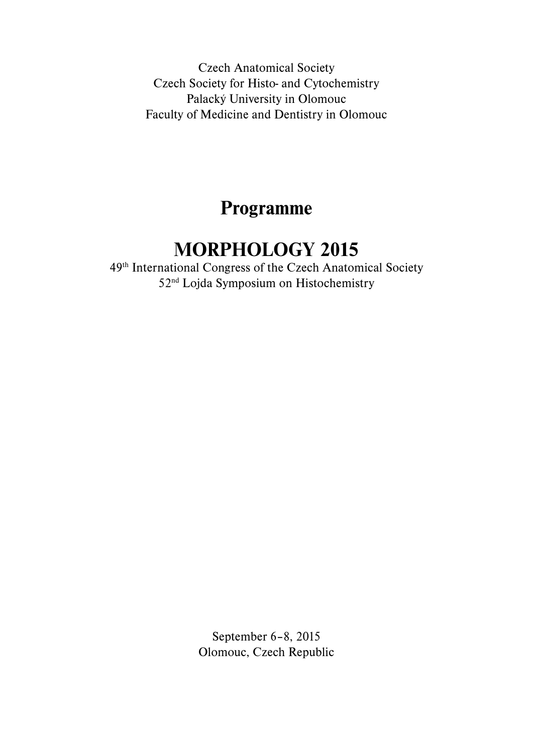Czech Anatomical Society Czech Society for Histo- and Cytochemistry Palacký University in Olomouc Faculty of Medicine and Dentistry in Olomouc

# **Programme**

## **MORPHOLOGY 2015**

49th International Congress of the Czech Anatomical Society 52nd Lojda Symposium on Histochemistry

> September 6–8, 2015 Olomouc, Czech Republic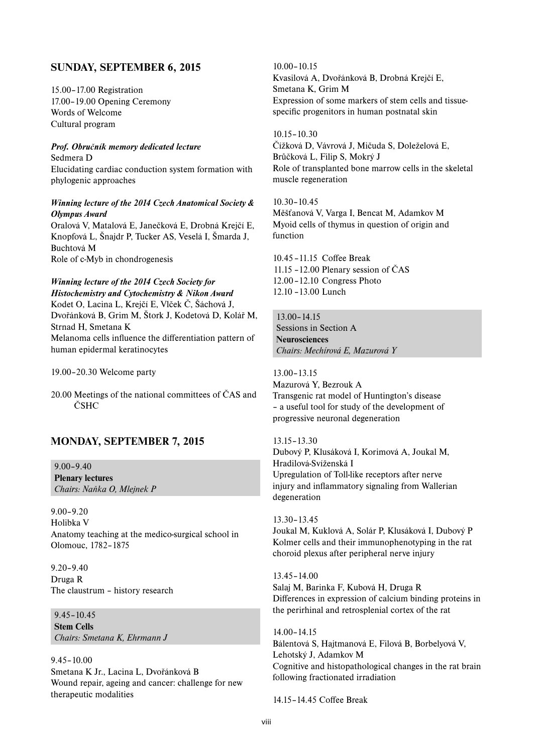## **SUNDAY, SEPTEMBER 6, 2015**

15.00–17.00 Registration 17.00–19.00 Opening Ceremony Words of Welcome Cultural program

*Prof. Obručník memory dedicated lecture* Sedmera D Elucidating cardiac conduction system formation with phylogenic approaches

#### *Winning lecture of the 2014 Czech Anatomical Society & Olympus Award*

Oralová V, Matalová E, Janečková E, Drobná Krejčí E, Knopfová L, Šnajdr P, Tucker AS, Veselá I, Šmarda J, Buchtová M Role of c-Myb in chondrogenesis

#### *Winning lecture of the 2014 Czech Society for*

*Histochemistry and Cytochemistry & Nikon Award* Kodet O, Lacina L, Krejčí E, Vlček Č, Šáchová J, Dvořánková B, Grim M, Štork J, Kodetová D, Kolář M, Strnad H, Smetana K Melanoma cells influence the differentiation pattern of human epidermal keratinocytes

19.00–20.30 Welcome party

20.00 Meetings of the national committees of ČAS and ČSHC

## **MONDAY, SEPTEMBER 7, 2015**

9.00–9.40 **Plenary lectures** *Chairs: Naňka O, Mlejnek P*

9.00–9.20 Holibka V Anatomy teaching at the medico-surgical school in Olomouc, 1782–1875

9.20–9.40 Druga R The claustrum – history research

9.45–10.45 **Stem Cells** *Chairs: Smetana K, Ehrmann J*

### 9.45–10.00

Smetana K Jr., Lacina L, Dvořánková B Wound repair, ageing and cancer: challenge for new therapeutic modalities

10.00–10.15 Kvasilová A, Dvořánková B, Drobná Krejčí E, Smetana K, Grim M Expression of some markers of stem cells and tissuespecific progenitors in human postnatal skin

10.15–10.30 Čížková D, Vávrová J, Mičuda S, Doleželová E, Brůčková L, Filip S, Mokrý J Role of transplanted bone marrow cells in the skeletal muscle regeneration

10.30–10.45 Měšťanová V, Varga I, Bencat M, Adamkov M Myoid cells of thymus in question of origin and function

10.45 - 11.15 Coffee Break 11.15 –12.00 Plenary session of ČAS 12.00 –12.10 Congress Photo 12.10 –13.00 Lunch

13.00–14.15 Sessions in Section A **Neurosciences**  *Chairs: Mechírová E, Mazurová Y*

13.00–13.15 Mazurová Y, Bezrouk A Transgenic rat model of Huntington's disease – a useful tool for study of the development of progressive neuronal degeneration

## 13.15–13.30

Dubový P, Klusáková I, Korimová A, Joukal M, Hradilová-Svíženská I Upregulation of Toll-like receptors after nerve injury and inflammatory signaling from Wallerian degeneration

13.30–13.45 Joukal M, Kuklová A, Solár P, Klusáková I, Dubový P Kolmer cells and their immunophenotyping in the rat choroid plexus after peripheral nerve injury

13.45–14.00 Salaj M, Barinka F, Kubová H, Druga R Differences in expression of calcium binding proteins in the perirhinal and retrosplenial cortex of the rat

14.00–14.15 Bálentová S, Hajtmanová E, Filová B, Borbelyová V, Lehotský J, Adamkov M Cognitive and histopathological changes in the rat brain following fractionated irradiation

14.15–14.45 Coffee Break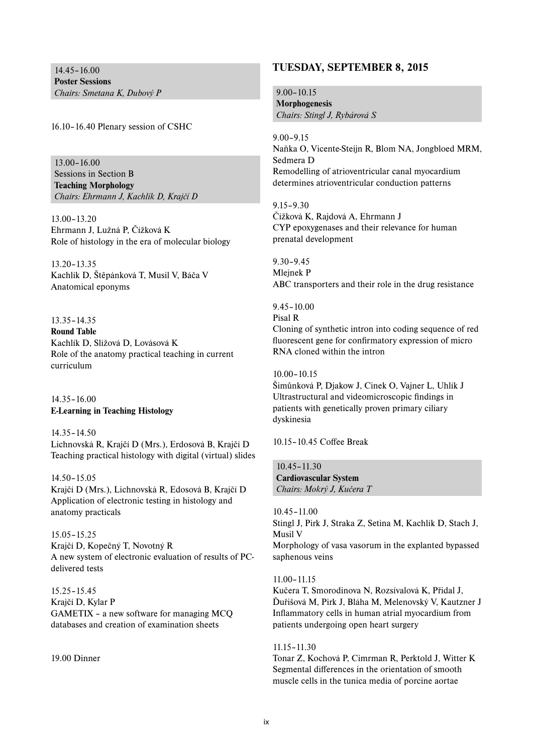14.45–16.00 **Poster Sessions**  *Chairs: Smetana K, Dubový P*

16.10–16.40 Plenary session of CSHC

13.00–16.00 Sessions in Section B **Teaching Morphology** *Chairs: Ehrmann J, Kachlík D, Krajčí D*

13.00–13.20 Ehrmann J, Lužná P, Čížková K Role of histology in the era of molecular biology

13.20–13.35 Kachlík D, Štěpánková T, Musil V, Báča V Anatomical eponyms

13.35–14.35 **Round Table**  Kachlík D, Slížová D, Lovásová K Role of the anatomy practical teaching in current curriculum

14.35–16.00 **E-Learning in Teaching Histology**

14.35–14.50 Lichnovská R, Krajčí D (Mrs.), Erdosová B, Krajčí D Teaching practical histology with digital (virtual) slides

14.50–15.05 Krajčí D (Mrs.), Lichnovská R, Edosová B, Krajčí D Application of electronic testing in histology and anatomy practicals

15.05–15.25 Krajčí D, Kopečný T, Novotný R A new system of electronic evaluation of results of PCdelivered tests

15.25–15.45 Krajčí D, Kylar P GAMETIX – a new software for managing MCQ databases and creation of examination sheets

19.00 Dinner

### **TUESDAY, SEPTEMBER 8, 2015**

9.00–10.15 **Morphogenesis** *Chairs: Stingl J, Rybárová S* 

9.00–9.15 Naňka O, Vicente-Steijn R, Blom NA, Jongbloed MRM, Sedmera D Remodelling of atrioventricular canal myocardium determines atrioventricular conduction patterns

9.15–9.30 Čížková K, Rajdová A, Ehrmann J CYP epoxygenases and their relevance for human prenatal development

9.30–9.45 Mlejnek P ABC transporters and their role in the drug resistance

9.45–10.00 Pisal R Cloning of synthetic intron into coding sequence of red fluorescent gene for confirmatory expression of micro RNA cloned within the intron

10.00–10.15

Šimůnková P, Djakow J, Cinek O, Vajner L, Uhlík J Ultrastructural and videomicroscopic findings in patients with genetically proven primary ciliary dyskinesia

10.15–10.45 Coffee Break

10.45–11.30 **Cardiovascular System** *Chairs: Mokrý J, Kučera T*

10.45–11.00 Stingl J, Pirk J, Straka Z, Setina M, Kachlík D, Stach J, Musil V Morphology of vasa vasorum in the explanted bypassed saphenous veins

11.00–11.15

Kučera T, Smorodinova N, Rozsívalová K, Přidal J, Ďuřišová M, Pirk J, Bláha M, Melenovský V, Kautzner J Inflammatory cells in human atrial myocardium from patients undergoing open heart surgery

11.15–11.30

Tonar Z, Kochová P, Cimrman R, Perktold J, Witter K Segmental differences in the orientation of smooth muscle cells in the tunica media of porcine aortae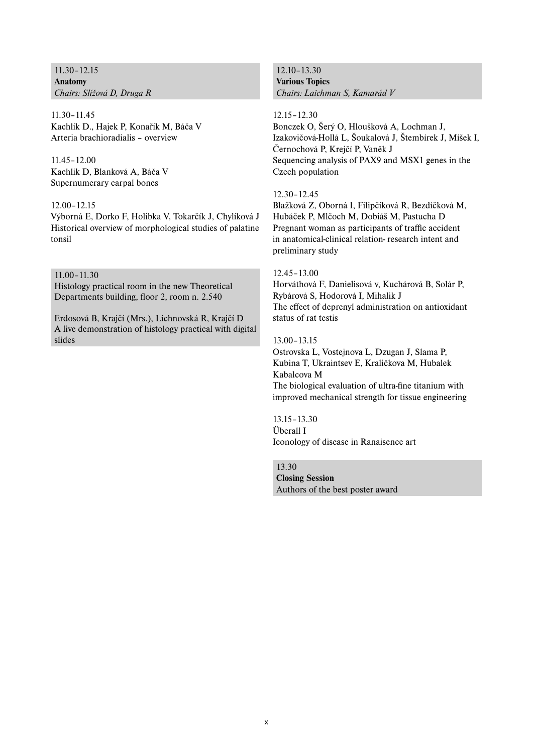11.30–12.15 **Anatomy** *Chairs: Slížová D, Druga R*

11.30–11.45 Kachlík D., Hajek P, Konařík M, Báča V Arteria brachioradialis – overview

11.45–12.00 Kachlík D, Blanková A, Báča V Supernumerary carpal bones

#### 12.00–12.15

Výborná E, Dorko F, Holibka V, Tokarčík J, Chylíková J Historical overview of morphological studies of palatine tonsil

11.00–11.30 Histology practical room in the new Theoretical Departments building, floor 2, room n. 2.540

Erdosová B, Krajčí (Mrs.), Lichnovská R, Krajčí D A live demonstration of histology practical with digital slides

12.10–13.30 **Various Topics** *Chairs: Laichman S, Kamarád V*

12.15–12.30

Bonczek O, Šerý O, Hloušková A, Lochman J, Izakovičová-Hollá L, Šoukalová J, Štembírek J, Míšek I, Černochová P, Krejčí P, Vaněk J Sequencing analysis of PAX9 and MSX1 genes in the Czech population

#### 12.30–12.45

Blažková Z, Oborná I, Filipčíková R, Bezdíčková M, Hubáček P, Mlčoch M, Dobiáš M, Pastucha D Pregnant woman as participants of traffic accident in anatomical-clinical relation- research intent and preliminary study

#### 12.45–13.00

Horváthová F, Danielisová v, Kuchárová B, Solár P, Rybárová S, Hodorová I, Mihalik J The effect of deprenyl administration on antioxidant status of rat testis

13.00–13.15

Ostrovska L, Vostejnova L, Dzugan J, Slama P, Kubina T, Ukraintsev E, Kraličkova M, Hubalek Kabalcova M The biological evaluation of ultra-fine titanium with improved mechanical strength for tissue engineering

13.15–13.30 Überall I Iconology of disease in Ranaisence art

13.30 **Closing Session** Authors of the best poster award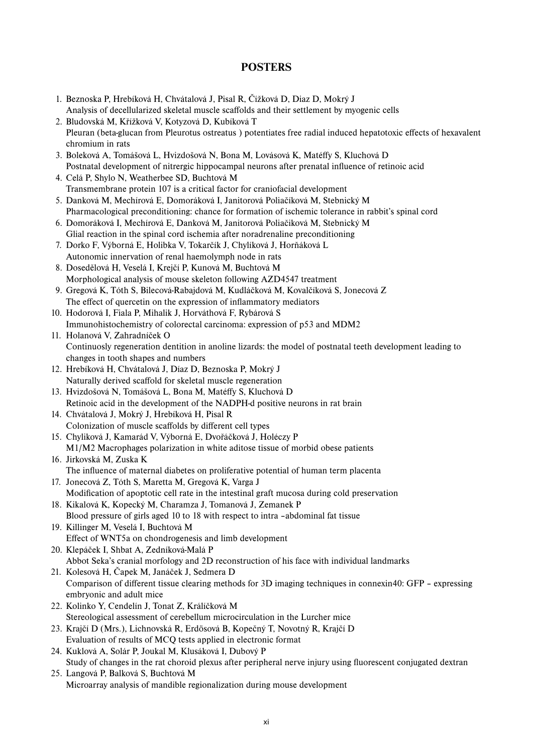## **POSTERS**

 1. Beznoska P, Hrebíková H, Chvátalová J, Pisal R, Čížková D, Diaz D, Mokrý J Analysis of decellularized skeletal muscle scaffolds and their settlement by myogenic cells 2. Bludovská M, Křížková V, Kotyzová D, Kubíková T Pleuran (beta-glucan from Pleurotus ostreatus) potentiates free radial induced hepatotoxic effects of hexavalent chromium in rats 3. Boleková A, Tomášová L, Hvizdošová N, Bona M, Lovásová K, Matéffy S, Kluchová D Postnatal development of nitrergic hippocampal neurons after prenatal influence of retinoic acid 4. Celá P, Shylo N, Weatherbee SD, Buchtová M Transmembrane protein 107 is a critical factor for craniofacial development 5. Danková M, Mechírová E, Domoráková I, Janitorová Poliačíková M, Stebnický M Pharmacological preconditioning: chance for formation of ischemic tolerance in rabbit's spinal cord 6. Domoráková I, Mechírová E, Danková M, Janitorová Poliačiková M, Stebnický M Glial reaction in the spinal cord ischemia after noradrenaline preconditioning 7. Dorko F, Výborná E, Holibka V, Tokarčík J, Chylíková J, Horňáková L Autonomic innervation of renal haemolymph node in rats 8. Dosedělová H, Veselá I, Krejčí P, Kunová M, Buchtová M Morphological analysis of mouse skeleton following AZD4547 treatment 9. Gregová K, Tóth S, Bilecová-Rabajdová M, Kudláčková M, Kovalčíková S, Jonecová Z The effect of quercetin on the expression of inflammatory mediators 10. Hodorová I, Fiala P, Mihalik J, Horváthová F, Rybárová S Immunohistochemistry of colorectal carcinoma: expression of p53 and MDM2 11. Holanová V, Zahradníček O Continuosly regeneration dentition in anoline lizards: the model of postnatal teeth development leading to changes in tooth shapes and numbers 12. Hrebíková H, Chvátalová J, Díaz D, Beznoska P, Mokrý J Naturally derived scaffold for skeletal muscle regeneration 13. Hvizdošová N, Tomášová L, Bona M, Matéffy S, Kluchová D Retinoic acid in the development of the NADPH-d positive neurons in rat brain 14. Chvátalová J, Mokrý J, Hrebíková H, Pisal R Colonization of muscle scaffolds by different cell types 15. Chyliková J, Kamarád V, Výborná E, Dvořáčková J, Holéczy P M1/M2 Macrophages polarization in white aditose tissue of morbid obese patients 16. Jirkovská M, Zuska K The influence of maternal diabetes on proliferative potential of human term placenta 17. Jonecová Z, Tóth S, Maretta M, Gregová K, Varga J Modification of apoptotic cell rate in the intestinal graft mucosa during cold preservation 18. Kikalová K, Kopecký M, Charamza J, Tomanová J, Zemanek P Blood pressure of girls aged 10 to 18 with respect to intra –abdominal fat tissue 19. Killinger M, Veselá I, Buchtová M Effect of WNT5a on chondrogenesis and limb development 20. Klepáček I, Shbat A, Zedníková-Malá P Abbot Seka's cranial morfology and 2D reconstruction of his face with individual landmarks 21. Kolesová H, Čapek M, Janáček J, Sedmera D Comparison of different tissue clearing methods for 3D imaging techniques in connexin40: GFP – expressing embryonic and adult mice 22. Kolinko Y, Cendelín J, Tonat Z, Králíčková M Stereological assessment of cerebellum microcirculation in the Lurcher mice 23. Krajčí D (Mrs.), Lichnovská R, Erdösová B, Kopečný T, Novotný R, Krajčí D Evaluation of results of MCQ tests applied in electronic format 24. Kuklová A, Solár P, Joukal M, Klusáková I, Dubový P Study of changes in the rat choroid plexus after peripheral nerve injury using fluorescent conjugated dextran 25. Langová P, Balková S, Buchtová M Microarray analysis of mandible regionalization during mouse development